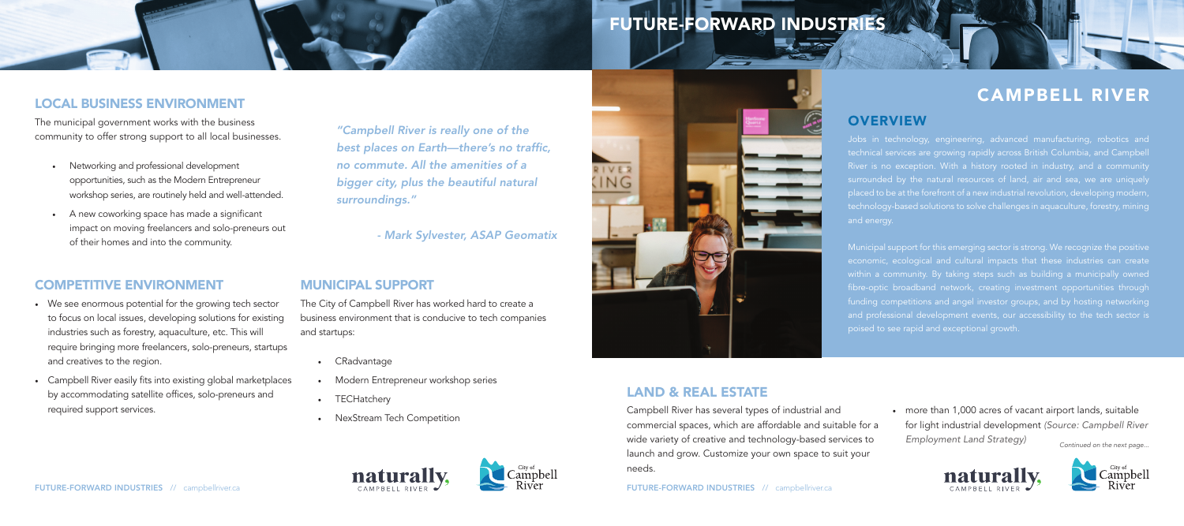### LAND & REAL ESTATE

# FUTURE-FORWARD INDUSTRIES

Jobs in technology, engineering, advanced manufacturing, robotics and River is no exception. With a history rooted in industry, and a community

Municipal support for this emerging sector is strong. We recognize the positive fibre-optic broadband network, creating investment opportunities through

## CAMPBELL RIVER

#### **OVERVIEW**

• more than 1,000 acres of vacant airport lands, suitable







#### LOCAL BUSINESS ENVIRONMENT

The municipal government works with the business community to offer strong support to all local businesses.

- Networking and professional development opportunities, such as the Modern Entrepreneur workshop series, are routinely held and well-attended.
- A new coworking space has made a significant impact on moving freelancers and solo-preneurs out of their homes and into the community.

#### COMPETITIVE ENVIRONMENT MUNICIPAL SUPPORT

Campbell River has several types of industrial and commercial spaces, which are affordable and suitable for a wide variety of creative and technology-based services to launch and grow. Customize your own space to suit your needs. for light industrial development *(Source: Campbell River Employment Land Strategy) Continued on the next page...*

- We see enormous potential for the growing tech sector to focus on local issues, developing solutions for existing industries such as forestry, aquaculture, etc. This will require bringing more freelancers, solo-preneurs, startups and creatives to the region.
- Campbell River easily fits into existing global marketplaces by accommodating satellite offices, solo-preneurs and required support services.

The City of Campbell River has worked hard to create a business environment that is conducive to tech companies and startups:

- CRadvantage
- Modern Entrepreneur workshop series
- TECHatchery
- NexStream Tech Competition

naturally

CAMPRELL PIN





*"Campbell River is really one of the*  best places on Earth—there's no traffic, *no commute. All the amenities of a bigger city, plus the beautiful natural surroundings."*

*- Mark Sylvester, ASAP Geomatix*